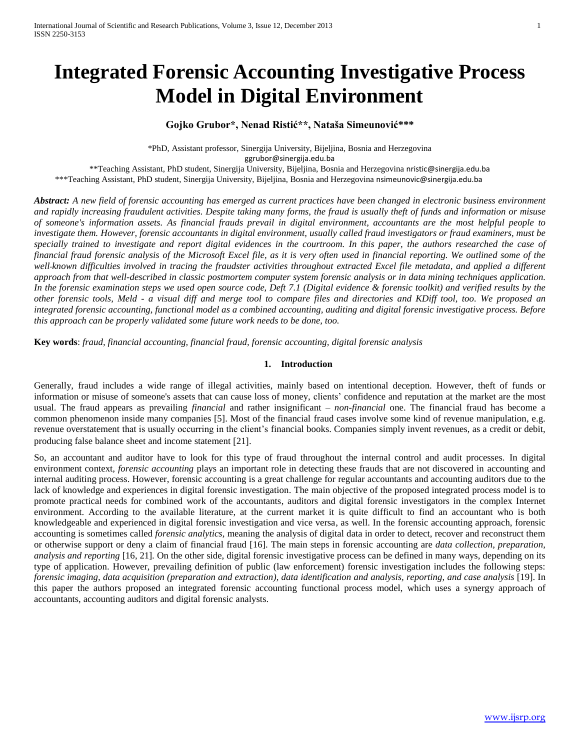# **Integrated Forensic Accounting Investigative Process Model in Digital Environment**

# **Gojko Grubor\*, Nenad Ristić\*\*, Nataša Simeunović\*\*\***

\*PhD, Assistant professor, Sinergija University, Bijeljina, Bosnia and Herzegovina [ggrubor@sinergija.edu.ba](mailto:ggrubor@sinergija.edu.ba)

\*\*Teaching Assistant, PhD student, Sinergija University, Bijeljina, Bosnia and Herzegovina [nristic@sinergija.edu.ba](mailto:nristic@sinergija.edu.ba) \*\*\*Teaching Assistant, PhD student, Sinergija University, Bijeljina, Bosnia and Herzegovina [nsimeunovic@sinergija.edu.ba](mailto:nsimeunovic@sinergija.edu.ba)

*Abstract: A new field of forensic accounting has emerged as current practices have been changed in electronic business environment and rapidly increasing fraudulent activities. Despite taking many forms, the fraud is usually theft of funds and information or misuse of someone's information assets. As financial frauds prevail in digital environment, accountants are the most helpful people to investigate them. However, forensic accountants in digital environment, usually called fraud investigators or fraud examiners, must be specially trained to investigate and report digital evidences in the courtroom. In this paper, the authors researched the case of financial fraud forensic analysis of the Microsoft Excel file, as it is very often used in financial reporting. We outlined some of the well*-*known difficulties involved in tracing the fraudster activities throughout extracted Excel file metadata, and applied a different approach from that well-described in classic postmortem computer system forensic analysis or in data mining techniques application. In the forensic examination steps we used open source code, Deft 7.1 (Digital evidence & forensic toolkit) and verified results by the other forensic tools, Meld - a visual diff and merge tool to compare files and directories and KDiff tool, too. We proposed an integrated forensic accounting, functional model as a combined accounting, auditing and digital forensic investigative process. Before this approach can be properly validated some future work needs to be done, too.* 

**Key words**: *fraud, financial accounting, financial fraud, forensic accounting, digital forensic analysis*

## **1. Introduction**

Generally, fraud includes a wide range of illegal activities, mainly based on intentional deception. However, theft of funds or information or misuse of someone's assets that can cause loss of money, clients' confidence and reputation at the market are the most usual. The fraud appears as prevailing *financial* and rather insignificant – *non-financial* one. The financial fraud has become a common phenomenon inside many companies [5]. Most of the financial fraud cases involve some kind of revenue manipulation, e.g. revenue overstatement that is usually occurring in the client's financial books. Companies simply invent revenues, as a credit or debit, producing false balance sheet and income statement [21].

So, an accountant and auditor have to look for this type of fraud throughout the internal control and audit processes. In digital environment context*, forensic accounting* plays an important role in detecting these frauds that are not discovered in accounting and internal auditing process. However, forensic accounting is a great challenge for regular accountants and accounting auditors due to the lack of knowledge and experiences in digital forensic investigation. The main objective of the proposed integrated process model is to promote practical needs for combined work of the accountants, auditors and digital forensic investigators in the complex Internet environment. According to the available literature, at the current market it is quite difficult to find an accountant who is both knowledgeable and experienced in digital forensic investigation and vice versa, as well. In the forensic accounting approach, forensic accounting is sometimes called *forensic analytics,* meaning the analysis of digital data in order to detect, recover and reconstruct them or otherwise support or deny a claim of financial fraud [16]. The main steps in forensic accounting are *data collection, preparation, analysis and reporting* [16, 21]*.* On the other side, digital forensic investigative process can be defined in many ways, depending on its type of application. However, prevailing definition of public (law enforcement) forensic investigation includes the following steps: *forensic imaging, data acquisition (preparation and extraction), data identification and analysis, reporting, and case analysis* [19]. In this paper the authors proposed an integrated forensic accounting functional process model, which uses a synergy approach of accountants, accounting auditors and digital forensic analysts.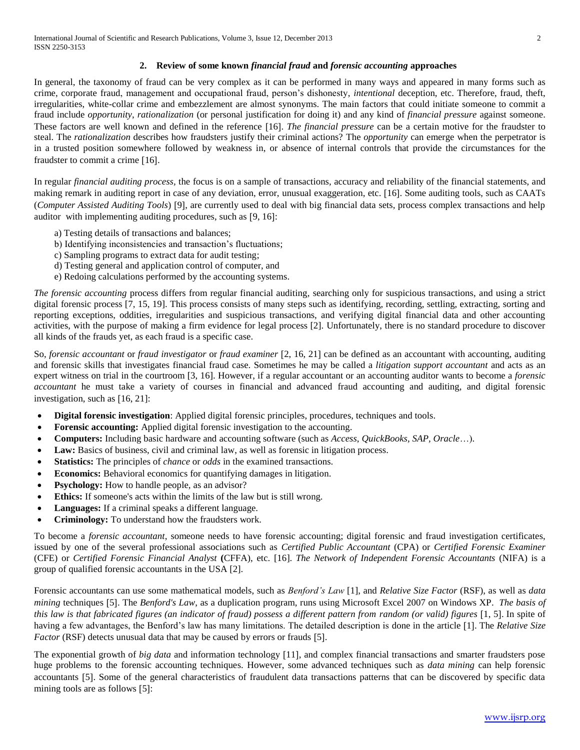# **2. Review of some known** *financial fraud* **and** *forensic accounting* **approaches**

In general, the taxonomy of fraud can be very complex as it can be performed in many ways and appeared in many forms such as crime, corporate fraud, management and occupational fraud, person's dishonesty, *intentional* deception, etc. Therefore, fraud, theft, irregularities, white-collar crime and embezzlement are almost synonyms. The main factors that could initiate someone to commit a fraud include *opportunity*, *rationalization* (or personal justification for doing it) and any kind of *financial pressure* against someone. These factors are well known and defined in the reference [16]. *The financial pressure* can be a certain motive for the fraudster to steal. The *rationalization* describes how fraudsters justify their criminal actions? The *opportunity* can emerge when the perpetrator is in a trusted position somewhere followed by weakness in, or absence of internal controls that provide the circumstances for the fraudster to commit a crime [16].

In regular *financial auditing process,* the focus is on a sample of transactions, accuracy and reliability of the financial statements, and making remark in auditing report in case of any deviation, error, unusual exaggeration, etc. [16]. Some auditing tools, such as CAATs (*Computer Assisted Auditing Tools*) [9], are currently used to deal with big financial data sets, process complex transactions and help auditor with implementing auditing procedures, such as  $[9, 16]$ :

- a) Testing details of transactions and balances;
- b) Identifying inconsistencies and transaction's fluctuations;
- c) Sampling programs to extract data for audit testing;
- d) Testing general and application control of computer, and
- e) Redoing calculations performed by the accounting systems.

*The forensic accounting* process differs from regular financial auditing, searching only for suspicious transactions, and using a strict digital forensic process [7, 15, 19]. This process consists of many steps such as identifying, recording, settling, extracting, sorting and reporting exceptions, oddities, irregularities and suspicious transactions, and verifying digital financial data and other accounting activities, with the purpose of making a firm evidence for legal process [2]. Unfortunately, there is no standard procedure to discover all kinds of the frauds yet, as each fraud is a specific case.

So, *forensic accountant* or *fraud investigator* or *fraud examiner* [2, 16, 21] can be defined as an accountant with accounting, auditing and forensic skills that investigates financial fraud case. Sometimes he may be called a *litigation support accountant* and acts as an expert witness on trial in the courtroom [3, 16]. However, if a regular accountant or an accounting auditor wants to become a *forensic accountant* he must take a variety of courses in financial and advanced fraud accounting and auditing, and digital forensic investigation, such as  $[16, 21]$ :

- **Digital forensic investigation**: Applied digital forensic principles, procedures, techniques and tools.
- **Forensic accounting:** Applied digital forensic investigation to the accounting.
- **Computers:** Including basic hardware and accounting software (such as *Access*, *QuickBooks, SAP, Oracle*…).
- **Law:** Basics of business, civil and criminal law, as well as forensic in litigation process.
- **Statistics:** The principles of *chance* or *odds* in the examined transactions.
- **Economics:** Behavioral economics for quantifying damages in litigation.
- **Psychology:** How to handle people, as an advisor?
- **Ethics:** If someone's acts within the limits of the law but is still wrong.
- **Languages:** If a criminal speaks a different language.
- **Criminology:** To understand how the fraudsters work.

To become a *forensic accountant*, someone needs to have forensic accounting; digital forensic and fraud investigation certificates, issued by one of the several professional associations such as *Certified Public Accountant* (CPA) or *Certified Forensic Examiner* (CFE) or *Certified Forensic Financial Analyst* **(**CFFA), etc. [16]. *The Network of Independent Forensic Accountants* (NIFA) is a group of qualified forensic accountants in the USA [2].

Forensic accountants can use some mathematical models, such as *Benford's Law* [1], and *Relative Size Factor* (RSF), as well as *data mining techniques* [5]. The *Benford's Law*, as a duplication program, runs using Microsoft Excel 2007 on Windows XP. The basis of *this law is that fabricated figures (an indicator of fraud) possess a different pattern from random (or valid) figures* [1, 5]. In spite of having a few advantages, the Benford's law has many limitations. The detailed description is done in the article [1]. The *Relative Size Factor* (RSF) detects unusual data that may be caused by errors or frauds [5].

The exponential growth of *big data* and information technology [11], and complex financial transactions and smarter fraudsters pose huge problems to the forensic accounting techniques. However, some advanced techniques such as *data mining* can help forensic accountants [5]. Some of the general characteristics of fraudulent data transactions patterns that can be discovered by specific data mining tools are as follows  $[5]$ :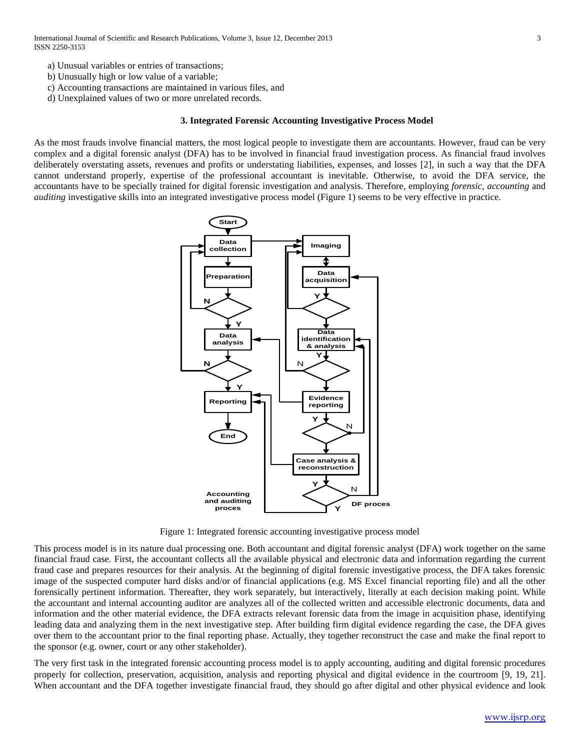- a) Unusual variables or entries of transactions;
- b) Unusually high or low value of a variable;
- c) Accounting transactions are maintained in various files, and
- d) Unexplained values of two or more unrelated records.

## **3. Integrated Forensic Accounting Investigative Process Model**

As the most frauds involve financial matters, the most logical people to investigate them are accountants. However, fraud can be very complex and a digital forensic analyst (DFA) has to be involved in financial fraud investigation process. As financial fraud involves deliberately overstating assets, revenues and profits or understating liabilities, expenses, and losses [2], in such a way that the DFA cannot understand properly, expertise of the professional accountant is inevitable. Otherwise, to avoid the DFA service, the accountants have to be specially trained for digital forensic investigation and analysis. Therefore, employing *forensic*, *accounting* and *auditing* investigative skills into an integrated investigative process model (Figure 1) seems to be very effective in practice.



Figure 1: Integrated forensic accounting investigative process model

This process model is in its nature dual processing one. Both accountant and digital forensic analyst (DFA) work together on the same financial fraud case. First, the accountant collects all the available physical and electronic data and information regarding the current fraud case and prepares resources for their analysis. At the beginning of digital forensic investigative process, the DFA takes forensic image of the suspected computer hard disks and/or of financial applications (e.g. MS Excel financial reporting file) and all the other forensically pertinent information. Thereafter, they work separately, but interactively, literally at each decision making point. While the accountant and internal accounting auditor are analyzes all of the collected written and accessible electronic documents, data and information and the other material evidence, the DFA extracts relevant forensic data from the image in acquisition phase, identifying leading data and analyzing them in the next investigative step. After building firm digital evidence regarding the case, the DFA gives over them to the accountant prior to the final reporting phase. Actually, they together reconstruct the case and make the final report to the sponsor (e.g. owner, court or any other stakeholder).

The very first task in the integrated forensic accounting process model is to apply accounting, auditing and digital forensic procedures properly for collection, preservation, acquisition, analysis and reporting physical and digital evidence in the courtroom 9, 19, 21. When accountant and the DFA together investigate financial fraud, they should go after digital and other physical evidence and look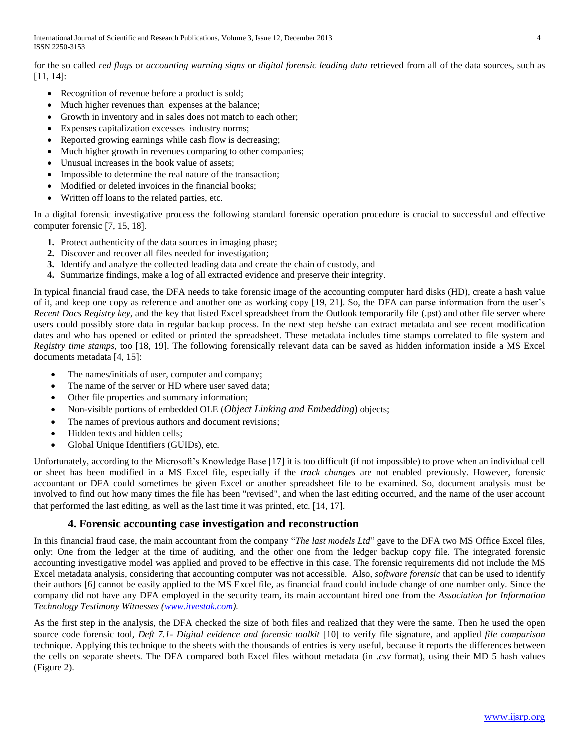International Journal of Scientific and Research Publications, Volume 3, Issue 12, December 2013 4 ISSN 2250-3153

for the so called *red flags* or *accounting warning signs* or *digital forensic leading data* retrieved from all of the data sources, such as [11, 14]:

- Recognition of revenue before a product is sold;
- Much higher revenues than expenses at the balance;
- Growth in inventory and in sales does not match to each other;
- Expenses capitalization excesses industry norms;
- Reported growing earnings while cash flow is decreasing;
- Much higher growth in revenues comparing to other companies;
- Unusual increases in the book value of assets;
- Impossible to determine the real nature of the transaction;
- Modified or deleted invoices in the financial books;
- Written off loans to the related parties, etc.

In a digital forensic investigative process the following standard forensic operation procedure is crucial to successful and effective computer forensic [7, 15, 18].

- **1.** Protect authenticity of the data sources in imaging phase;
- **2.** Discover and recover all files needed for investigation;
- **3.** Identify and analyze the collected leading data and create the chain of custody, and
- **4.** Summarize findings, make a log of all extracted evidence and preserve their integrity.

In typical financial fraud case, the DFA needs to take forensic image of the accounting computer hard disks (HD), create a hash value of it, and keep one copy as reference and another one as working copy [19, 21]. So, the DFA can parse information from the user's *Recent Docs Registry key*, and the key that listed Excel spreadsheet from the Outlook temporarily file (.pst) and other file server where users could possibly store data in regular backup process. In the next step he/she can extract metadata and see recent modification dates and who has opened or edited or printed the spreadsheet. These metadata includes time stamps correlated to file system and *Registry time stamps*, too [18, 19]. The following forensically relevant data can be saved as hidden information inside a MS Excel documents metadata [4, 15]:

- The names/initials of user, computer and company;
- The name of the server or HD where user saved data;
- Other file properties and summary information;
- Non-visible portions of embedded OLE (*Object Linking and Embedding*) objects;
- The names of previous authors and document revisions;
- Hidden texts and hidden cells;
- Global Unique Identifiers (GUIDs), etc.

Unfortunately, according to the Microsoft's Knowledge Base [17] it is too difficult (if not impossible) to prove when an individual cell or sheet has been modified in a MS Excel file, especially if the *track changes* are not enabled previously. However, forensic accountant or DFA could sometimes be given Excel or another spreadsheet file to be examined. So, document analysis must be involved to find out how many times the file has been "revised", and when the last editing occurred, and the name of the user account that performed the last editing, as well as the last time it was printed, etc. 14, 17].

# **4. Forensic accounting case investigation and reconstruction**

In this financial fraud case, the main accountant from the company "*The last models Ltd*" gave to the DFA two MS Office Excel files, only: One from the ledger at the time of auditing, and the other one from the ledger backup copy file. The integrated forensic accounting investigative model was applied and proved to be effective in this case. The forensic requirements did not include the MS Excel metadata analysis, considering that accounting computer was not accessible. Also, *software forensic* that can be used to identify their authors [6] cannot be easily applied to the MS Excel file, as financial fraud could include change of one number only. Since the company did not have any DFA employed in the security team, its main accountant hired one from the *Association for Information Technology Testimony Witnesses [\(www.itvestak.com\)](http://www.itvestak.com/).*

As the first step in the analysis, the DFA checked the size of both files and realized that they were the same. Then he used the open source code forensic tool, *Deft* 7.1- *Digital evidence and forensic toolkit* [10] to verify file signature, and applied *file comparison* technique. Applying this technique to the sheets with the thousands of entries is very useful, because it reports the differences between the cells on separate sheets. The DFA compared both Excel files without metadata (in .*csv* format), using their MD 5 hash values (Figure 2).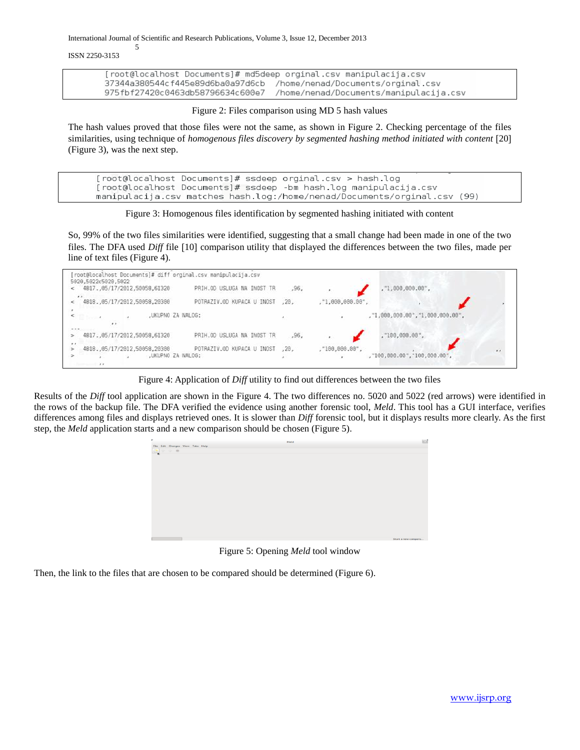International Journal of Scientific and Research Publications, Volume 3, Issue 12, December 2013

ISSN 2250-3153

5

[root@localhost Documents]# md5deep orginal.csv manipulacija.csv 37344a380544cf445e89d6ba0a97d6cb /home/nenad/Documents/orginal.csv 975fbf27420c0463db58796634c600e7 /home/nenad/Documents/manipulacija.csv

Figure 2: Files comparison using MD 5 hash values

The hash values proved that those files were not the same, as shown in Figure 2. Checking percentage of the files similarities, using technique of *homogenous files discovery by segmented hashing method initiated with content* [20] (Figure 3), was the next step.

[root@localhost Documents]# ssdeep orginal.csv > hash.log [root@localhost Documents]# ssdeep -bm hash.log manipulacija.csv manipulacija.csv matches hash.log:/home/nenad/Documents/orginal.csv (99)

Figure 3: Homogenous files identification by segmented hashing initiated with content

So, 99% of the two files similarities were identified, suggesting that a small change had been made in one of the two files. The DFA used *Diff* file [10] [comparison](http://en.wikipedia.org/wiki/File_comparison) utility that displayed the differences between the two files, made per line of text files (Figure 4).

| root@localhost Documents]# diff orginal.csv manipulacija.csv                      |       |                                                 |              |
|-----------------------------------------------------------------------------------|-------|-------------------------------------------------|--------------|
| 5020,5022c5020,5022<br>4817.,05/17/2012.50058.61328<br>PRIH.OD USLUGA NA INOST TR | .96.  | ,"1,888,888.88",                                |              |
| $x + y$<br>4818.,05/17/2012,50058,20300<br>POTRAZIV.OD KUPACA U INOST             | .28.  | , "1,000,000.00",                               |              |
| ,UKUPNO ZA NALOG:                                                                 |       | ,"1,008,000.00","1,000,000.00",                 |              |
| .<br>PRIH.OD USLUGA NA INOST TR<br>4817.,05/17/2012,50058,61320                   | , 96, | ,"100,000.00",                                  |              |
| 4818.,05/17/2012,50058,20300<br>POTRAZIV.OD KUPACA U INOST<br>,UKUPNO ZA NALOG:   | .28.  | ,"100,000.00",<br>, "100,000.00", "100,000.00", | $\mathbf{r}$ |
| <b>Support Ford</b>                                                               |       |                                                 |              |

Figure 4: Application of *Diff* utility to find out differences between the two files

Results of the *Diff* tool application are shown in the Figure 4. The two differences no. 5020 and 5022 (red arrows) were identified in the rows of the backup file. The DFA verified the evidence using another forensic tool, *Meld*. This tool has a GUI interface, verifies differences among files and displays retrieved ones. It is slower than *Diff* forensic tool, but it displays results more clearly. As the first step, the *Meld* application starts and a new comparison should be chosen (Figure 5).



Figure 5: Opening *Meld* tool window

Then, the link to the files that are chosen to be compared should be determined (Figure 6).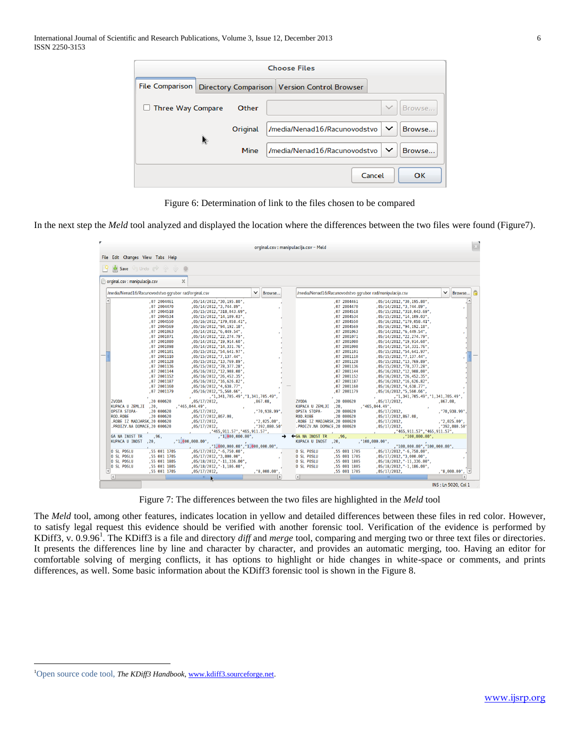|                        |    |          | <b>Choose Files</b>                            |              |        |
|------------------------|----|----------|------------------------------------------------|--------------|--------|
| <b>File Comparison</b> |    |          | Directory Comparison   Version Control Browser |              |        |
| Three Way Compare      |    | Other    |                                                |              | Browse |
|                        | R. | Original | /media/Nenad16/Racunovodstvo                   | $\check{ }$  | Browse |
|                        |    | Mine     | /media/Nenad16/Racunovodstvo                   | $\checkmark$ | Browse |
|                        |    |          | Cancel                                         |              | OK     |

Figure 6: Determination of link to the files chosen to be compared

In the next step the *Meld* tool analyzed and displayed the location where the differences between the two files were found (Figure7).

|                                                                                                                                                                                                                                                                                                                                                                                                                                                                                                                                                                                                                                                                                                                                                                                                                                                                | orginal.csv: manipulacija.csv - Meld                                             |                                                                                                                                                                                                                                                                                                                                                                                                                                                                                                                                                                                                                                                                                                                                                                                                                                                                |                                                     |
|----------------------------------------------------------------------------------------------------------------------------------------------------------------------------------------------------------------------------------------------------------------------------------------------------------------------------------------------------------------------------------------------------------------------------------------------------------------------------------------------------------------------------------------------------------------------------------------------------------------------------------------------------------------------------------------------------------------------------------------------------------------------------------------------------------------------------------------------------------------|----------------------------------------------------------------------------------|----------------------------------------------------------------------------------------------------------------------------------------------------------------------------------------------------------------------------------------------------------------------------------------------------------------------------------------------------------------------------------------------------------------------------------------------------------------------------------------------------------------------------------------------------------------------------------------------------------------------------------------------------------------------------------------------------------------------------------------------------------------------------------------------------------------------------------------------------------------|-----------------------------------------------------|
| File Edit Changes View Tabs Help                                                                                                                                                                                                                                                                                                                                                                                                                                                                                                                                                                                                                                                                                                                                                                                                                               |                                                                                  |                                                                                                                                                                                                                                                                                                                                                                                                                                                                                                                                                                                                                                                                                                                                                                                                                                                                |                                                     |
| Save $\bigcirc$ Undo $\bigcirc$ $\bigcirc$ $\bigcirc$ $\bigcirc$                                                                                                                                                                                                                                                                                                                                                                                                                                                                                                                                                                                                                                                                                                                                                                                               |                                                                                  |                                                                                                                                                                                                                                                                                                                                                                                                                                                                                                                                                                                                                                                                                                                                                                                                                                                                |                                                     |
| orginal.csv: manipulacija.csv                                                                                                                                                                                                                                                                                                                                                                                                                                                                                                                                                                                                                                                                                                                                                                                                                                  |                                                                                  |                                                                                                                                                                                                                                                                                                                                                                                                                                                                                                                                                                                                                                                                                                                                                                                                                                                                |                                                     |
| /media/Nenad16/Racunovodstvo ggrubor rad/orginal.csv                                                                                                                                                                                                                                                                                                                                                                                                                                                                                                                                                                                                                                                                                                                                                                                                           | $\checkmark$<br>Browse                                                           | /media/Nenad16/Racunovodstvo ggrubor rad/manipulacija.csv                                                                                                                                                                                                                                                                                                                                                                                                                                                                                                                                                                                                                                                                                                                                                                                                      | $\checkmark$<br>Browse                              |
|                                                                                                                                                                                                                                                                                                                                                                                                                                                                                                                                                                                                                                                                                                                                                                                                                                                                |                                                                                  |                                                                                                                                                                                                                                                                                                                                                                                                                                                                                                                                                                                                                                                                                                                                                                                                                                                                |                                                     |
| .072004461<br>, 05/14/2012, "30, 195.80",<br>,07 2004470<br>, 05/14/2012, "3, 744.89",<br>.072004518<br>, 05/15/2012, "318, 043.69",<br>,07 2004534<br>, 05/15/2012, "14, 109.03",<br>,07 2004550<br>, 05/16/2012, "179, 058.41",<br>,07 2004569<br>.05/16/2012."94.192.18".<br>.072001063<br>.05/14/2012."6.449.54".<br>,07 2001071<br>, 05/14/2012, "22, 274.79",<br>,07 2001080<br>, 05/14/2012, "19, 914.60",<br>,07 2001098<br>, 05/14/2012, "14, 331. 76",<br>,07 2001101<br>, 05/15/2012, "54, 641.97",<br>,07 2001110<br>, 05/15/2012, "7, 137.44",<br>.072001128<br>, 05/15/2012, "13, 769.89",<br>.07 2001136<br>, 05/15/2012, "78, 377, 28",<br>.07 2001144<br>, 05/16/2012, "12, 908, 00",<br>,07 2001152<br>, 05/16/2012, "26, 452.35",<br>,07 2001187<br>, 05/16/2012, "16, 626.82",<br>,07 2001160<br>, 05/16/2012, "4, 638.77",<br>.07 2001179 |                                                                                  | .072004461<br>, 05/14/2012, "30, 195.80",<br>, 05/14/2012, "3, 744.89",<br>,07 2004470<br>.072004518<br>, 05/15/2012, "318, 043.69",<br>,07 2004534<br>, 05/15/2012, "14, 109.03",<br>,07 2004550<br>, 05/16/2012, "179, 058.41",<br>,07 2004569<br>, 05/16/2012, "94, 192.18",<br>,07 2001063<br>.05/14/2012."6.449.54".<br>,07 2001071<br>, 05/14/2012, "22, 274.79",<br>,07 2001080<br>, 05/14/2012, "19, 914.60",<br>,07 2001098<br>, 05/14/2012, "14, 331.76",<br>,07 2001101<br>, 05/15/2012, "54, 641.97",<br>,07 2001110<br>, 05/15/2012, "7, 137, 44",<br>.072001128<br>, 05/15/2012, "13, 769.89",<br>.07 2001136<br>, 05/15/2012, "78, 377, 28",<br>.07 2001144<br>.05/16/2012."12.908.00".<br>,07 2001152<br>, 05/16/2012, "26, 452.35",<br>,07 2001187<br>, 05/16/2012, "16, 626.82",<br>,07 2001160<br>, 05/16/2012, "4, 638.77",<br>.07 2001179 |                                                     |
| , 05/16/2012, "5, 560.66",<br>,"1,341,705.49","1,341,705.49",                                                                                                                                                                                                                                                                                                                                                                                                                                                                                                                                                                                                                                                                                                                                                                                                  |                                                                                  | , 05/16/2012, "5, 560.66",<br>,"1,341,705.49","1,341,705.49",                                                                                                                                                                                                                                                                                                                                                                                                                                                                                                                                                                                                                                                                                                                                                                                                  |                                                     |
| <b>ZVODA</b><br>.20000020<br>,05/17/2012,                                                                                                                                                                                                                                                                                                                                                                                                                                                                                                                                                                                                                                                                                                                                                                                                                      | .867.08.<br><b>ZVODA</b>                                                         | .20000020<br>,05/17/2012,                                                                                                                                                                                                                                                                                                                                                                                                                                                                                                                                                                                                                                                                                                                                                                                                                                      | .867.08.                                            |
| KUPACA U ZEMLJI<br>.20.<br>, "465, 044.49",                                                                                                                                                                                                                                                                                                                                                                                                                                                                                                                                                                                                                                                                                                                                                                                                                    | KUPACA U ZEMLJI                                                                  | .20.<br>, "465, 044.49",                                                                                                                                                                                                                                                                                                                                                                                                                                                                                                                                                                                                                                                                                                                                                                                                                                       |                                                     |
| <b>OPSTA STOPA-</b><br>.20000020<br>,05/17/2012,<br>.20000020<br>ROD.ROBE<br>,05/17/2012,867.08,<br>.ROBE IZ MADJARSK.20 000620<br>,05/17/2012,<br>.PROIZV.NA DOMACE, 20 000620<br>$,05/17/2012$ ,                                                                                                                                                                                                                                                                                                                                                                                                                                                                                                                                                                                                                                                             | , "70, 938.99",<br>OPSTA STOPA-<br>ROD, ROBE<br>, "2,025.00",<br>, "392, 080.50" | .20000620<br>,05/17/2012,<br>.20000020<br>,05/17/2012,867.08,<br>.ROBE IZ MADJARSK.20 000620<br>,05/17/2012,<br>.PROIZV.NA DOMACE, 20 000620<br>,05/17/2012,                                                                                                                                                                                                                                                                                                                                                                                                                                                                                                                                                                                                                                                                                                   | , "70, 938.99",<br>, "2,025.00",<br>, "392, 080.50" |
| , "465, 911.57", "465, 911.57",                                                                                                                                                                                                                                                                                                                                                                                                                                                                                                                                                                                                                                                                                                                                                                                                                                |                                                                                  | , "465, 911.57", "465, 911.57",                                                                                                                                                                                                                                                                                                                                                                                                                                                                                                                                                                                                                                                                                                                                                                                                                                |                                                     |
| <b>GA NA INOST TR</b><br>.96.<br>, "1,000,000.00".<br>, "1,000,000.00",<br><b>KUPACA U INOST</b><br>.20.<br>, "1,000,000.00", "1,000,000.00",                                                                                                                                                                                                                                                                                                                                                                                                                                                                                                                                                                                                                                                                                                                  | ←GA NA INOST TR<br><b>KUPACA U INOST</b>                                         | .96.<br>. "100.000.00".<br>. "100.000.00".<br>.20.<br>. "100.000.00", "100.000.00",                                                                                                                                                                                                                                                                                                                                                                                                                                                                                                                                                                                                                                                                                                                                                                            |                                                     |
| O SL POSLU<br>.55 001 1705<br>$.05/17/2012.$ " $-6.750.00$ ".<br>O SL POSLU<br>.55 001 1705<br>$.05/17/2012.$ "3.000.00".<br>O SL POSLU<br>,55 001 1805<br>, 05/18/2012, "-11, 336.00",<br>O SL POSLU<br>.55 001 1805<br>, 05/18/2012, "-1, 186.00",<br>.55 001 1705<br>, 05/17/2012,                                                                                                                                                                                                                                                                                                                                                                                                                                                                                                                                                                          | <b>0 SL POSLU</b><br>O SL POSLU<br>O SL POSLU<br>O SL POSLU<br>, "8,000.00",     | .55 001 1705<br>$.05/17/2012.$ " $-6.750.00$ ".<br>.55 001 1705<br>$.05/17/2012.$ "3.000.00".<br>,55 001 1805<br>, 05/18/2012, "-11, 336.00",<br>,55 001 1805<br>, 05/18/2012, "-1, 186.00",<br>,55 001 1705<br>,05/17/2012,                                                                                                                                                                                                                                                                                                                                                                                                                                                                                                                                                                                                                                   | , "8,000.00",<br>$\mathsf{L}$                       |
| $\vert \vert$<br>$\mathbf{m}$                                                                                                                                                                                                                                                                                                                                                                                                                                                                                                                                                                                                                                                                                                                                                                                                                                  | $\overline{\mathcal{K}}$<br>$\rightarrow$                                        | $\overline{m}$                                                                                                                                                                                                                                                                                                                                                                                                                                                                                                                                                                                                                                                                                                                                                                                                                                                 | $\rightarrow$                                       |

Figure 7: The differences between the two files are highlighted in the *Meld* tool

The *Meld* tool, among other features, indicates location in yellow and detailed differences between these files in red color. However, to satisfy legal request this evidence should be verified with another forensic tool. Verification of the evidence is performed by KDiff3, v. 0.9.96<sup>1</sup> . The KDiff3 is a file and directory *diff* and *merge* tool, comparing and merging two or three text files or directories. It presents the differences line by line and character by character, and provides an automatic merging, too. Having an editor for comfortable solving of merging conflicts, it has options to highlight or hide changes in white-space or comments, and prints differences, as well. Some basic information about the KDiff3 forensic tool is shown in the Figure 8.

 $\overline{a}$ 

<sup>1</sup>Open source code tool, *The KDiff3 Handbook*, [www.kdiff3.sourceforge.net.](http://www.kdiff3.sourceforge.net/)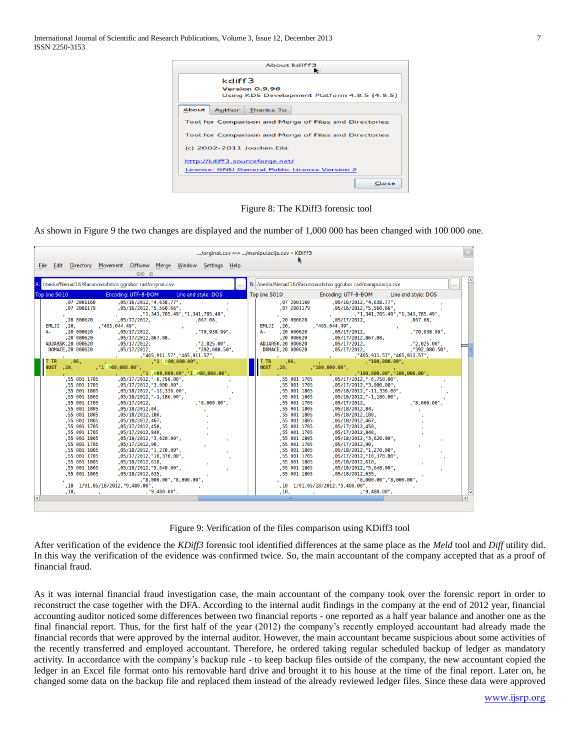International Journal of Scientific and Research Publications, Volume 3, Issue 12, December 2013 7 ISSN 2250-3153



Figure 8: The KDiff3 forensic tool

As shown in Figure 9 the two changes are displayed and the number of 1,000 000 has been changed with 100 000 one.

| File Edit Directory Movement Diffview Merge Window Settings Help<br>000<br>A: /media/Nenad16/Racunovodstvo ggrubor rad/orginal.csv<br>B: /media/Nenad16/Racunovodstvo ggrubor rad/manipulacija.csv<br>Top line 5010<br>Encoding: UTF-8-BOM<br>Line end style: DOS<br>Top line 5010<br>Encoding: UTF-8-BOM                                                                                                                                                                                                                                                                                                                                                                                                                                                                                                                                                                                                                                                                                                                                                                                                                                                                                                                                                                                                                                                                                                                                                                                                                                                                                                                                                                                                                                                                                                                                                                                                                                                                 |                                                                                   |
|---------------------------------------------------------------------------------------------------------------------------------------------------------------------------------------------------------------------------------------------------------------------------------------------------------------------------------------------------------------------------------------------------------------------------------------------------------------------------------------------------------------------------------------------------------------------------------------------------------------------------------------------------------------------------------------------------------------------------------------------------------------------------------------------------------------------------------------------------------------------------------------------------------------------------------------------------------------------------------------------------------------------------------------------------------------------------------------------------------------------------------------------------------------------------------------------------------------------------------------------------------------------------------------------------------------------------------------------------------------------------------------------------------------------------------------------------------------------------------------------------------------------------------------------------------------------------------------------------------------------------------------------------------------------------------------------------------------------------------------------------------------------------------------------------------------------------------------------------------------------------------------------------------------------------------------------------------------------------|-----------------------------------------------------------------------------------|
|                                                                                                                                                                                                                                                                                                                                                                                                                                                                                                                                                                                                                                                                                                                                                                                                                                                                                                                                                                                                                                                                                                                                                                                                                                                                                                                                                                                                                                                                                                                                                                                                                                                                                                                                                                                                                                                                                                                                                                           |                                                                                   |
|                                                                                                                                                                                                                                                                                                                                                                                                                                                                                                                                                                                                                                                                                                                                                                                                                                                                                                                                                                                                                                                                                                                                                                                                                                                                                                                                                                                                                                                                                                                                                                                                                                                                                                                                                                                                                                                                                                                                                                           |                                                                                   |
|                                                                                                                                                                                                                                                                                                                                                                                                                                                                                                                                                                                                                                                                                                                                                                                                                                                                                                                                                                                                                                                                                                                                                                                                                                                                                                                                                                                                                                                                                                                                                                                                                                                                                                                                                                                                                                                                                                                                                                           |                                                                                   |
|                                                                                                                                                                                                                                                                                                                                                                                                                                                                                                                                                                                                                                                                                                                                                                                                                                                                                                                                                                                                                                                                                                                                                                                                                                                                                                                                                                                                                                                                                                                                                                                                                                                                                                                                                                                                                                                                                                                                                                           |                                                                                   |
|                                                                                                                                                                                                                                                                                                                                                                                                                                                                                                                                                                                                                                                                                                                                                                                                                                                                                                                                                                                                                                                                                                                                                                                                                                                                                                                                                                                                                                                                                                                                                                                                                                                                                                                                                                                                                                                                                                                                                                           | Line end style: DOS                                                               |
| .072001160<br>, 05/16/2012, "4, 638.77",<br>,07 2001160<br>, 05/16/2012, "4, 638.77",<br>.07 2001179<br>,07 2001179<br>, 05/16/2012, "5, 560.66",<br>, 05/16/2012, "5, 560.66",<br>,"1,341,705.49","1,341,705.49",<br>,"1,341,705.49","1,341,705.49",<br>,20 000620<br>,867.08,<br>,20 000620<br>,05/17/2012,<br>,05/17/2012,<br>$EMLJI$ , 20,<br>, "465, 044.49".<br>$EMLJI$ , 20,<br>, "465, 044.49",<br>.20 000620<br>.20 000620<br>А-<br>.05/17/2012.<br>, "70, 938.99",<br>$A -$<br>.05/17/2012.<br>,20 000620<br>,05/17/2012,867.08,<br>,20 000620<br>,05/17/2012,867.08,<br>, "2,025.00",<br>ADJARSK.20 000620<br>ADJARSK.20 000620<br>,05/17/2012,<br>,05/17/2012,<br>DOMACE, 20 000620<br>,05/17/2012,<br>, "392, 080.50",<br>DOMACE, 20 000620<br>,05/17/2012,<br>,"465,911.57","465,911.57",<br>, "465, 911.57", "465, 911.57",<br>$\mathbf{r}$<br>and the com-<br>, 96.<br>, "1, 000, 000.00",<br>, 96,<br>, "100,000.00",<br>T TR.<br><b>TR</b><br><b>NOST</b><br>, "1, 000, 000.00",<br>NOST , 20,<br>, "100,000.00",<br>, 20,<br>, "1, 000, 000.00", "1, 000, 000.00",<br>,"100,000.00","100,000.00",<br>, 05/17/2012, "-6, 750.00",<br>,55 001 1705<br>,55 001 1705<br>, 05/17/2012, "-6, 750.00",<br>,55 001 1705<br>, 05/17/2012, "3, 000.00",<br>,55 001 1705<br>, 05/17/2012, "3, 000.00",<br>,55 001 1805<br>,55 001 1805<br>, 05/18/2012, "-11, 336.00",<br>, 05/18/2012, "-11, 336.00",<br>,55 001 1805<br>, 05/18/2012, "-1, 186.00",<br>,55 001 1805<br>, 05/18/2012, "-1, 186.00",<br>.55 001 1705<br>.55 001 1705<br>.05/17/2012.<br>.05/17/2012.<br>. "8.000.00".<br>,55 001 1805<br>,55 001 1805<br>, 05/18/2012, 84,<br>,05/18/2012,84,<br>,55 001 1805<br>,05/18/2012,180,<br>,55 001 1805<br>,05/18/2012,180,<br>.55 001 1805<br>, 05/18/2012, 467,<br>,55 001 1805<br>, 05/18/2012, 467,<br>,55 001 1705<br>,05/17/2012,450,<br>,55 001 1705<br>,05/17/2012,450,<br>,55 001 1705<br>,05/17/2012,840,<br>,55 001 1705<br>,05/17/2012,840, | ,867.08,<br>, "70, 938.99",<br>, "2,025.00",<br>, "392, 080.50",<br>. "8,000.00". |
| ,55 001 1805<br>,55 001 1805<br>, 05/18/2012, "3, 620.00",<br>, 05/18/2012, "3, 620.00",<br>,55 001 1705<br>,55 001 1705<br>,05/17/2012,90,<br>,05/17/2012,90,                                                                                                                                                                                                                                                                                                                                                                                                                                                                                                                                                                                                                                                                                                                                                                                                                                                                                                                                                                                                                                                                                                                                                                                                                                                                                                                                                                                                                                                                                                                                                                                                                                                                                                                                                                                                            |                                                                                   |
| ,55 001 1805<br>,55 001 1805<br>, 05/18/2012, "1, 270.00",<br>, 05/18/2012, "1, 270.00",<br>.55 001 1705<br>.05/17/2012."10.370.00".<br>.55 001 1705<br>,05/17/2012, "10, 370.00",<br>,55 001 1805<br>,55 001 1805<br>,05/18/2012,618,<br>,05/18/2012,618,<br>,55 001 1805<br>, 05/18/2012, "5, 648.00",<br>,55 001 1805<br>, 05/18/2012, "5, 648.00",                                                                                                                                                                                                                                                                                                                                                                                                                                                                                                                                                                                                                                                                                                                                                                                                                                                                                                                                                                                                                                                                                                                                                                                                                                                                                                                                                                                                                                                                                                                                                                                                                    |                                                                                   |
| .55 001 1805<br>.05/18/2012.635.<br>.55 001 1805<br>.05/18/2012.635.<br>,"8,000.00","8,000.00",<br>,"8,000.00","8,000.00",<br>,10 1/91,05/18/2012,"9,480.00",<br>,10 1/91,05/18/2012, "9,480.00",<br>, "9,480.00",<br>, "9,480.00",<br>, 10,<br>, 10,                                                                                                                                                                                                                                                                                                                                                                                                                                                                                                                                                                                                                                                                                                                                                                                                                                                                                                                                                                                                                                                                                                                                                                                                                                                                                                                                                                                                                                                                                                                                                                                                                                                                                                                     |                                                                                   |
|                                                                                                                                                                                                                                                                                                                                                                                                                                                                                                                                                                                                                                                                                                                                                                                                                                                                                                                                                                                                                                                                                                                                                                                                                                                                                                                                                                                                                                                                                                                                                                                                                                                                                                                                                                                                                                                                                                                                                                           |                                                                                   |

Figure 9: Verification of the files comparison using KDiff3 tool

After verification of the evidence the *KDiff3* forensic tool identified differences at the same place as the *Meld* tool and *Diff* utility did. In this way the verification of the evidence was confirmed twice. So, the main accountant of the company accepted that as a proof of financial fraud.

As it was internal financial fraud investigation case, the main accountant of the company took over the forensic report in order to reconstruct the case together with the DFA. According to the internal audit findings in the company at the end of 2012 year, financial accounting auditor noticed some differences between two financial reports - one reported as a half year balance and another one as the final financial report. Thus, for the first half of the year (2012) the company's recently employed accountant had already made the financial records that were approved by the internal auditor. However, the main accountant became suspicious about some activities of the recently transferred and employed accountant. Therefore, he ordered taking regular scheduled backup of ledger as mandatory activity. In accordance with the company's backup rule - to keep backup files outside of the company, the new accountant copied the ledger in an Excel file format onto his removable hard drive and brought it to his house at the time of the final report. Later on, he changed some data on the backup file and replaced them instead of the already reviewed ledger files. Since these data were approved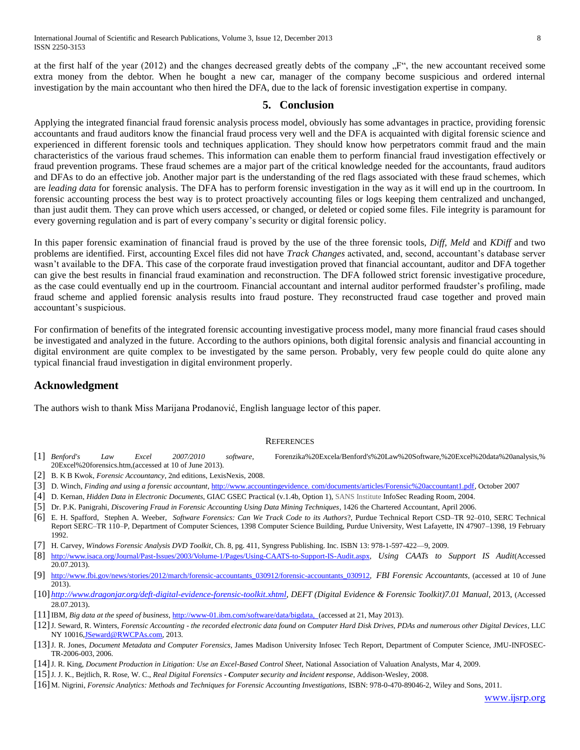at the first half of the year (2012) and the changes decreased greatly debts of the company  $F^{\prime\prime}$ , the new accountant received some extra money from the debtor. When he bought a new car, manager of the company become suspicious and ordered internal investigation by the main accountant who then hired the DFA, due to the lack of forensic investigation expertise in company.

# **5. Conclusion**

Applying the integrated financial fraud forensic analysis process model, obviously has some advantages in practice, providing forensic accountants and fraud auditors know the financial fraud process very well and the DFA is acquainted with digital forensic science and experienced in different forensic tools and techniques application. They should know how perpetrators commit fraud and the main characteristics of the various fraud schemes. This information can enable them to perform financial fraud investigation effectively or fraud prevention programs. These fraud schemes are a major part of the critical knowledge needed for the accountants, fraud auditors and DFAs to do an effective job. Another major part is the understanding of the red flags associated with these fraud schemes, which are *leading data* for forensic analysis. The DFA has to perform forensic investigation in the way as it will end up in the courtroom. In forensic accounting process the best way is to protect proactively accounting files or logs keeping them centralized and unchanged, than just audit them. They can prove which users accessed, or changed, or deleted or copied some files. File integrity is paramount for every governing regulation and is part of every company's security or digital forensic policy.

In this paper forensic examination of financial fraud is proved by the use of the three forensic tools, *Diff, Meld* and *KDiff* and two problems are identified. First, accounting Excel files did not have *Track Changes* activated, and, second, accountant's database server wasn't available to the DFA. This case of the corporate fraud investigation proved that financial accountant, auditor and DFA together can give the best results in financial fraud examination and reconstruction. The DFA followed strict forensic investigative procedure, as the case could eventually end up in the courtroom. Financial accountant and internal auditor performed fraudster's profiling, made fraud scheme and applied forensic analysis results into fraud posture. They reconstructed fraud case together and proved main accountant's suspicious.

For confirmation of benefits of the integrated forensic accounting investigative process model, many more financial fraud cases should be investigated and analyzed in the future. According to the authors opinions, both digital forensic analysis and financial accounting in digital environment are quite complex to be investigated by the same person. Probably, very few people could do quite alone any typical financial fraud investigation in digital environment properly.

# **Acknowledgment**

The authors wish to thank Miss Marijana Prodanović, English language lector of this paper.

#### **REFERENCES**

- [1] *Benford's Law Excel 2007/2010 software*, [Forenzika%20Excela/Benford's%20Law%20Software,%20Excel%20data%20analysis,%](file:///H:/Forenzika%20Excela/Benford)  [20Excel%20forensics.htm,](file:///H:/Forenzika%20Excela/Benford)(accessed at 10 of June 2013).
- [2] B. K B Kwok, *[Forensic Accountancy](http://books.google.com.hk/books/about/Forensic_Accountancy.html?id=Tfg8twAACAAJ&redir_esc=y)*, 2nd editions, LexisNexis, 2008.
- [3] D. Winch, *Finding and using a forensic accountant,* http://www.accountingevidence. com/documents/articles/Forensic%20accountant1.pdf, October 2007
- [4] D. Kernan, *Hidden Data in Electronic Documents*, GIAC GSEC Practical (v.1.4b, Option 1), SANS Institute InfoSec Reading Room, 2004.
- [5] Dr. P.K. Panigrahi, *Discovering Fraud in Forensic Accounting Using Data Mining Techniques*, 1426 the Chartered Accountant, April 2006.
- [6] E. H. Spafford, Stephen A. Weeber, *Software Forensics: Can We Track Code to its Authors*?, Purdue Technical Report CSD–TR 92–010, SERC Technical Report SERC–TR 110–P, Department of Computer Sciences, 1398 Computer Science Building, Purdue University, West Lafayette, IN 47907–1398, 19 February 1992.
- [7] H. Carvey, *Windows Forensic Analysis DVD Toolkit*, Ch. 8, pg. 411, Syngress Publishing. Inc. ISBN 13: 978-1-597-422—9, 2009.
- [8] [http://www.isaca.org/Journal/Past-Issues/2003/Volume-1/Pages/Using-CAATS-to-Support-IS-Audit.aspx,](http://www.isaca.org/Journal/Past-Issues/2003/Volume-1/Pages/Using-CAATS-to-Support-IS-Audit.aspx) *Using CAATs to Support IS Audit*(Accessed 20.07.2013).
- [9] [http://www.fbi.gov/news/stories/2012/march/forensic-accountants\\_030912/forensic-accountants\\_030912,](http://www.fbi.gov/news/stories/2012/march/forensic-accountants_030912/forensic-accountants_030912) *FBI Forensic Accountants*, (accessed at 10 of June 2013).
- [10] *[http://www.dragonjar.org/deft-digital-evidence-forensic-toolkit.xhtml,](http://www.dragonjar.org/deft-digital-evidence-forensic-toolkit.xhtml) DEFT (Digital Evidence & Forensic Toolkit)7.01 Manual*, 2013, (Accessed 28.07.2013).
- [11]IBM, *Big data at the speed of business*[, http://www-01.ibm.com/software/data/bigdata, \(accessed](http://www-01.ibm.com/software/data/bigdata/%20%20(accessed) at 21, May 2013).
- [12]J. Seward, R. Winters, *Forensic Accounting - the recorded electronic data found on Computer Hard Disk Drives, PDAs and numerous other Digital Devices*, LLC NY 10016, JSeward@RWCPAs.com, 2013.
- [13]J. R. Jones, *Document Metadata and Computer Forensics*, James Madison University Infosec Tech Report, Department of Computer Science, JMU-INFOSEC-TR-2006-003, 2006.
- [14]J. R. King, *Document Production in Litigation: Use an Excel-Based Control Sheet*, National [Association of Valuation Analysts,](http://www.nacva.com/) [Mar 4, 2009.](http://jemoore.typepad.com/blog/2009/03/document-production-in-litigation-use-an-excelbased-control-sheet.html)
- [15]J. J. K., Bejtlich, R. Rose, W. C., *Real Digital Forensics - Computer security and incident response*, Addison‐Wesley, 2008.
- [16] [M. Nigrini,](http://www.wiley.com/WileyCDA/Section/id-302475.html?query=Mark+Nigrini) *Forensic Analytics: Methods and Techniques for Forensic Accounting Investigations*, ISBN: 978-0-470-89046-2, Wiley and Sons, 2011.